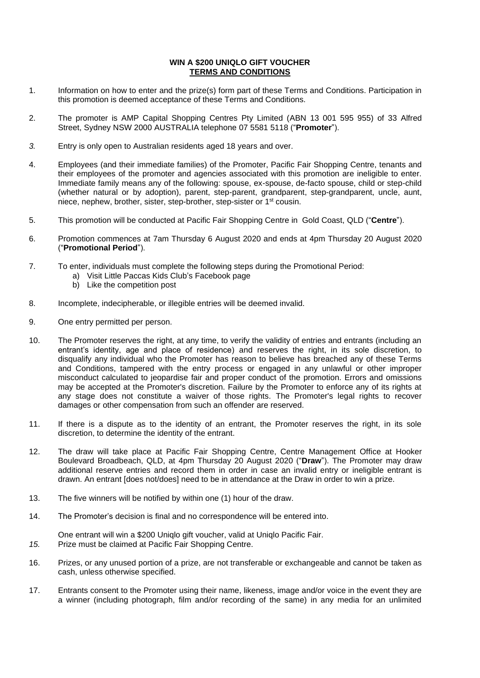## **WIN A \$200 UNIQLO GIFT VOUCHER TERMS AND CONDITIONS**

- 1. Information on how to enter and the prize(s) form part of these Terms and Conditions. Participation in this promotion is deemed acceptance of these Terms and Conditions.
- 2. The promoter is AMP Capital Shopping Centres Pty Limited (ABN 13 001 595 955) of 33 Alfred Street, Sydney NSW 2000 AUSTRALIA telephone 07 5581 5118 ("**Promoter**").
- *3.* Entry is only open to Australian residents aged 18 years and over.
- 4. Employees (and their immediate families) of the Promoter, Pacific Fair Shopping Centre, tenants and their employees of the promoter and agencies associated with this promotion are ineligible to enter. Immediate family means any of the following: spouse, ex-spouse, de-facto spouse, child or step-child (whether natural or by adoption), parent, step-parent, grandparent, step-grandparent, uncle, aunt, niece, nephew, brother, sister, step-brother, step-sister or 1st cousin.
- 5. This promotion will be conducted at Pacific Fair Shopping Centre in Gold Coast, QLD ("**Centre**").
- 6. Promotion commences at 7am Thursday 6 August 2020 and ends at 4pm Thursday 20 August 2020 ("**Promotional Period**").
- 7. To enter, individuals must complete the following steps during the Promotional Period:
	- a) Visit Little Paccas Kids Club's Facebook page
	- b) Like the competition post
- 8. Incomplete, indecipherable, or illegible entries will be deemed invalid.
- 9. One entry permitted per person.
- 10. The Promoter reserves the right, at any time, to verify the validity of entries and entrants (including an entrant's identity, age and place of residence) and reserves the right, in its sole discretion, to disqualify any individual who the Promoter has reason to believe has breached any of these Terms and Conditions, tampered with the entry process or engaged in any unlawful or other improper misconduct calculated to jeopardise fair and proper conduct of the promotion. Errors and omissions may be accepted at the Promoter's discretion. Failure by the Promoter to enforce any of its rights at any stage does not constitute a waiver of those rights. The Promoter's legal rights to recover damages or other compensation from such an offender are reserved.
- 11. If there is a dispute as to the identity of an entrant, the Promoter reserves the right, in its sole discretion, to determine the identity of the entrant.
- 12. The draw will take place at Pacific Fair Shopping Centre, Centre Management Office at Hooker Boulevard Broadbeach, QLD, at 4pm Thursday 20 August 2020 ("**Draw**"). The Promoter may draw additional reserve entries and record them in order in case an invalid entry or ineligible entrant is drawn. An entrant [does not/does] need to be in attendance at the Draw in order to win a prize.
- 13. The five winners will be notified by within one (1) hour of the draw.
- 14. The Promoter's decision is final and no correspondence will be entered into.

One entrant will win a \$200 Uniqlo gift voucher, valid at Uniqlo Pacific Fair. *15.* Prize must be claimed at Pacific Fair Shopping Centre.

- 16. Prizes, or any unused portion of a prize, are not transferable or exchangeable and cannot be taken as cash, unless otherwise specified.
- 17. Entrants consent to the Promoter using their name, likeness, image and/or voice in the event they are a winner (including photograph, film and/or recording of the same) in any media for an unlimited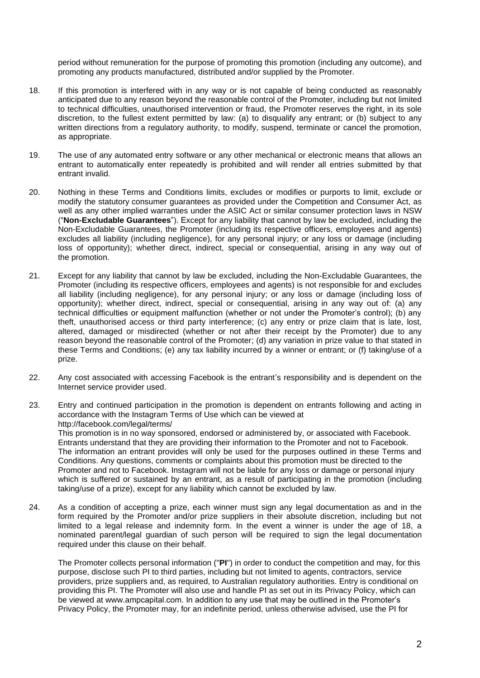period without remuneration for the purpose of promoting this promotion (including any outcome), and promoting any products manufactured, distributed and/or supplied by the Promoter.

- 18. If this promotion is interfered with in any way or is not capable of being conducted as reasonably anticipated due to any reason beyond the reasonable control of the Promoter, including but not limited to technical difficulties, unauthorised intervention or fraud, the Promoter reserves the right, in its sole discretion, to the fullest extent permitted by law: (a) to disqualify any entrant; or (b) subject to any written directions from a regulatory authority, to modify, suspend, terminate or cancel the promotion, as appropriate.
- 19. The use of any automated entry software or any other mechanical or electronic means that allows an entrant to automatically enter repeatedly is prohibited and will render all entries submitted by that entrant invalid.
- 20. Nothing in these Terms and Conditions limits, excludes or modifies or purports to limit, exclude or modify the statutory consumer guarantees as provided under the Competition and Consumer Act, as well as any other implied warranties under the ASIC Act or similar consumer protection laws in NSW ("**Non-Excludable Guarantees**"). Except for any liability that cannot by law be excluded, including the Non-Excludable Guarantees, the Promoter (including its respective officers, employees and agents) excludes all liability (including negligence), for any personal injury; or any loss or damage (including loss of opportunity); whether direct, indirect, special or consequential, arising in any way out of the promotion.
- 21. Except for any liability that cannot by law be excluded, including the Non-Excludable Guarantees, the Promoter (including its respective officers, employees and agents) is not responsible for and excludes all liability (including negligence), for any personal injury; or any loss or damage (including loss of opportunity); whether direct, indirect, special or consequential, arising in any way out of: (a) any technical difficulties or equipment malfunction (whether or not under the Promoter's control); (b) any theft, unauthorised access or third party interference; (c) any entry or prize claim that is late, lost, altered, damaged or misdirected (whether or not after their receipt by the Promoter) due to any reason beyond the reasonable control of the Promoter; (d) any variation in prize value to that stated in these Terms and Conditions; (e) any tax liability incurred by a winner or entrant; or (f) taking/use of a prize.
- 22. Any cost associated with accessing Facebook is the entrant's responsibility and is dependent on the Internet service provider used.
- 23. Entry and continued participation in the promotion is dependent on entrants following and acting in accordance with the Instagram Terms of Use which can be viewed at http://facebook.com/legal/terms/ This promotion is in no way sponsored, endorsed or administered by, or associated with Facebook. Entrants understand that they are providing their information to the Promoter and not to Facebook. The information an entrant provides will only be used for the purposes outlined in these Terms and Conditions. Any questions, comments or complaints about this promotion must be directed to the Promoter and not to Facebook. Instagram will not be liable for any loss or damage or personal injury which is suffered or sustained by an entrant, as a result of participating in the promotion (including
- 24. As a condition of accepting a prize, each winner must sign any legal documentation as and in the form required by the Promoter and/or prize suppliers in their absolute discretion, including but not limited to a legal release and indemnity form. In the event a winner is under the age of 18, a nominated parent/legal guardian of such person will be required to sign the legal documentation required under this clause on their behalf.

taking/use of a prize), except for any liability which cannot be excluded by law.

The Promoter collects personal information ("**PI**") in order to conduct the competition and may, for this purpose, disclose such PI to third parties, including but not limited to agents, contractors, service providers, prize suppliers and, as required, to Australian regulatory authorities. Entry is conditional on providing this PI. The Promoter will also use and handle PI as set out in its Privacy Policy, which can be viewed at www.ampcapital.com. In addition to any use that may be outlined in the Promoter's Privacy Policy, the Promoter may, for an indefinite period, unless otherwise advised, use the PI for